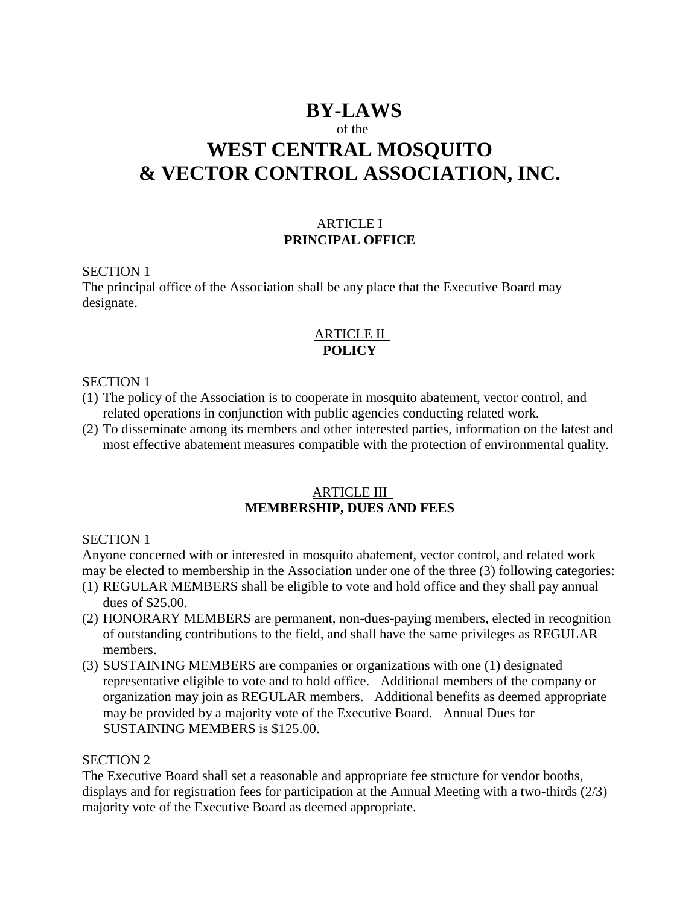## **BY-LAWS**

## of the

# **WEST CENTRAL MOSQUITO & VECTOR CONTROL ASSOCIATION, INC.**

## ARTICLE I **PRINCIPAL OFFICE**

#### SECTION 1

The principal office of the Association shall be any place that the Executive Board may designate.

## ARTICLE II **POLICY**

#### SECTION 1

- (1) The policy of the Association is to cooperate in mosquito abatement, vector control, and related operations in conjunction with public agencies conducting related work.
- (2) To disseminate among its members and other interested parties, information on the latest and most effective abatement measures compatible with the protection of environmental quality.

## ARTICLE III **MEMBERSHIP, DUES AND FEES**

## SECTION 1

Anyone concerned with or interested in mosquito abatement, vector control, and related work may be elected to membership in the Association under one of the three (3) following categories:

- (1) REGULAR MEMBERS shall be eligible to vote and hold office and they shall pay annual dues of \$25.00.
- (2) HONORARY MEMBERS are permanent, non-dues-paying members, elected in recognition of outstanding contributions to the field, and shall have the same privileges as REGULAR members.
- (3) SUSTAINING MEMBERS are companies or organizations with one (1) designated representative eligible to vote and to hold office. Additional members of the company or organization may join as REGULAR members. Additional benefits as deemed appropriate may be provided by a majority vote of the Executive Board. Annual Dues for SUSTAINING MEMBERS is \$125.00.

## SECTION 2

The Executive Board shall set a reasonable and appropriate fee structure for vendor booths, displays and for registration fees for participation at the Annual Meeting with a two-thirds (2/3) majority vote of the Executive Board as deemed appropriate.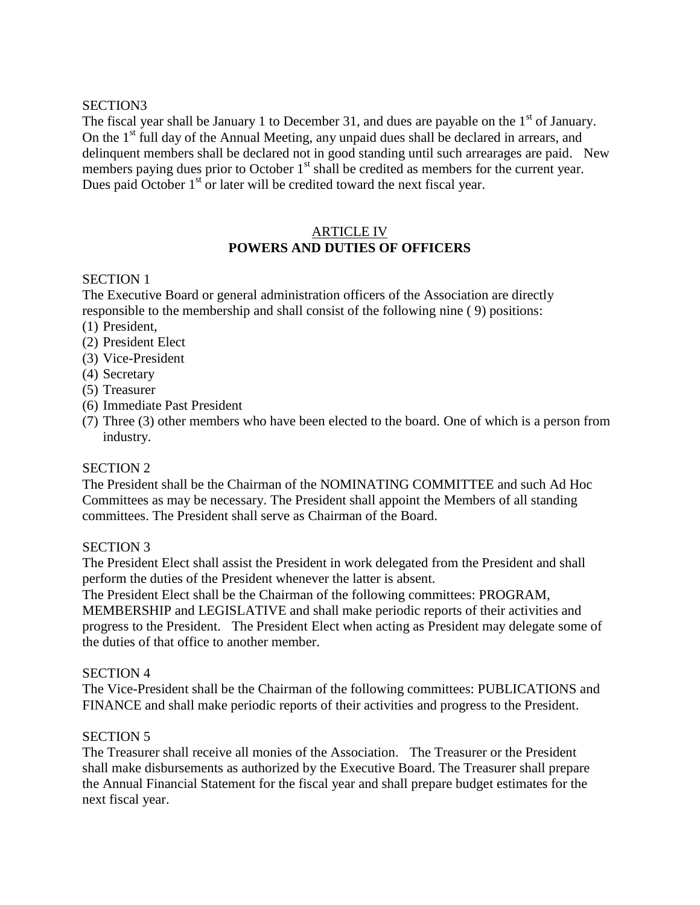## SECTION3

The fiscal year shall be January 1 to December 31, and dues are payable on the  $1<sup>st</sup>$  of January. On the 1<sup>st</sup> full day of the Annual Meeting, any unpaid dues shall be declared in arrears, and delinquent members shall be declared not in good standing until such arrearages are paid. New members paying dues prior to October  $1<sup>st</sup>$  shall be credited as members for the current year. Dues paid October  $1<sup>st</sup>$  or later will be credited toward the next fiscal year.

## ARTICLE IV **POWERS AND DUTIES OF OFFICERS**

## SECTION 1

The Executive Board or general administration officers of the Association are directly responsible to the membership and shall consist of the following nine ( 9) positions:

- (1) President,
- (2) President Elect
- (3) Vice-President
- (4) Secretary
- (5) Treasurer
- (6) Immediate Past President
- (7) Three (3) other members who have been elected to the board. One of which is a person from industry.

## SECTION 2

The President shall be the Chairman of the NOMINATING COMMITTEE and such Ad Hoc Committees as may be necessary. The President shall appoint the Members of all standing committees. The President shall serve as Chairman of the Board.

## SECTION 3

The President Elect shall assist the President in work delegated from the President and shall perform the duties of the President whenever the latter is absent.

The President Elect shall be the Chairman of the following committees: PROGRAM, MEMBERSHIP and LEGISLATIVE and shall make periodic reports of their activities and progress to the President. The President Elect when acting as President may delegate some of the duties of that office to another member.

## SECTION 4

The Vice-President shall be the Chairman of the following committees: PUBLICATIONS and FINANCE and shall make periodic reports of their activities and progress to the President.

## SECTION 5

The Treasurer shall receive all monies of the Association. The Treasurer or the President shall make disbursements as authorized by the Executive Board. The Treasurer shall prepare the Annual Financial Statement for the fiscal year and shall prepare budget estimates for the next fiscal year.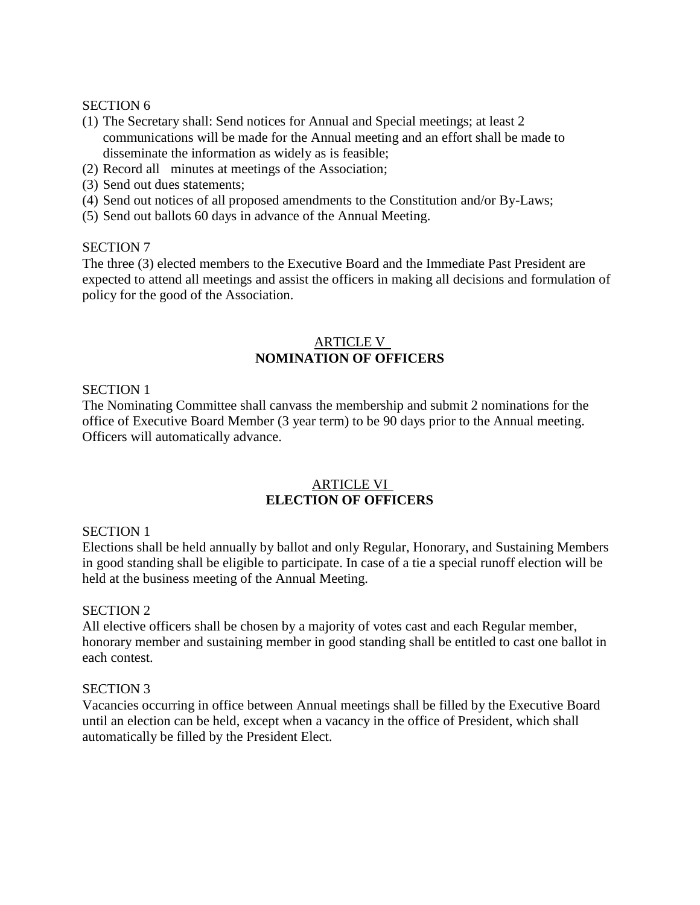#### SECTION 6

- (1) The Secretary shall: Send notices for Annual and Special meetings; at least 2 communications will be made for the Annual meeting and an effort shall be made to disseminate the information as widely as is feasible;
- (2) Record all minutes at meetings of the Association;
- (3) Send out dues statements;
- (4) Send out notices of all proposed amendments to the Constitution and/or By-Laws;
- (5) Send out ballots 60 days in advance of the Annual Meeting.

#### SECTION 7

The three (3) elected members to the Executive Board and the Immediate Past President are expected to attend all meetings and assist the officers in making all decisions and formulation of policy for the good of the Association.

## ARTICLE V **NOMINATION OF OFFICERS**

#### SECTION 1

The Nominating Committee shall canvass the membership and submit 2 nominations for the office of Executive Board Member (3 year term) to be 90 days prior to the Annual meeting. Officers will automatically advance.

### ARTICLE VI **ELECTION OF OFFICERS**

#### SECTION 1

Elections shall be held annually by ballot and only Regular, Honorary, and Sustaining Members in good standing shall be eligible to participate. In case of a tie a special runoff election will be held at the business meeting of the Annual Meeting.

## SECTION 2

All elective officers shall be chosen by a majority of votes cast and each Regular member, honorary member and sustaining member in good standing shall be entitled to cast one ballot in each contest.

#### SECTION 3

Vacancies occurring in office between Annual meetings shall be filled by the Executive Board until an election can be held, except when a vacancy in the office of President, which shall automatically be filled by the President Elect.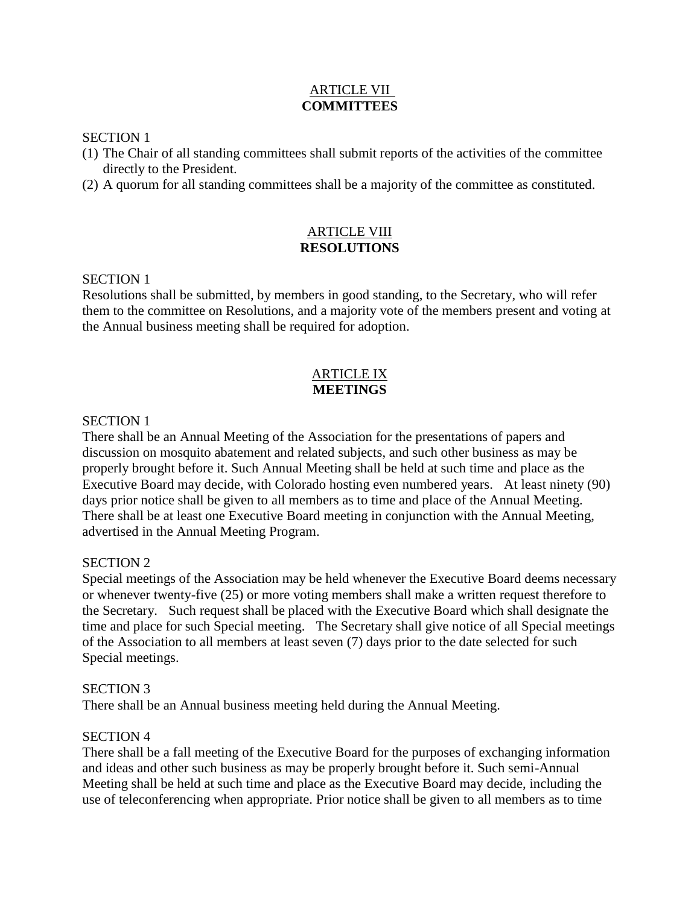## ARTICLE VII **COMMITTEES**

#### SECTION 1

- (1) The Chair of all standing committees shall submit reports of the activities of the committee directly to the President.
- (2) A quorum for all standing committees shall be a majority of the committee as constituted.

## ARTICLE VIII **RESOLUTIONS**

## SECTION 1

Resolutions shall be submitted, by members in good standing, to the Secretary, who will refer them to the committee on Resolutions, and a majority vote of the members present and voting at the Annual business meeting shall be required for adoption.

## ARTICLE IX **MEETINGS**

## SECTION 1

There shall be an Annual Meeting of the Association for the presentations of papers and discussion on mosquito abatement and related subjects, and such other business as may be properly brought before it. Such Annual Meeting shall be held at such time and place as the Executive Board may decide, with Colorado hosting even numbered years. At least ninety (90) days prior notice shall be given to all members as to time and place of the Annual Meeting. There shall be at least one Executive Board meeting in conjunction with the Annual Meeting, advertised in the Annual Meeting Program.

## SECTION 2

Special meetings of the Association may be held whenever the Executive Board deems necessary or whenever twenty-five (25) or more voting members shall make a written request therefore to the Secretary. Such request shall be placed with the Executive Board which shall designate the time and place for such Special meeting. The Secretary shall give notice of all Special meetings of the Association to all members at least seven (7) days prior to the date selected for such Special meetings.

#### SECTION 3

There shall be an Annual business meeting held during the Annual Meeting.

## SECTION 4

There shall be a fall meeting of the Executive Board for the purposes of exchanging information and ideas and other such business as may be properly brought before it. Such semi-Annual Meeting shall be held at such time and place as the Executive Board may decide, including the use of teleconferencing when appropriate. Prior notice shall be given to all members as to time